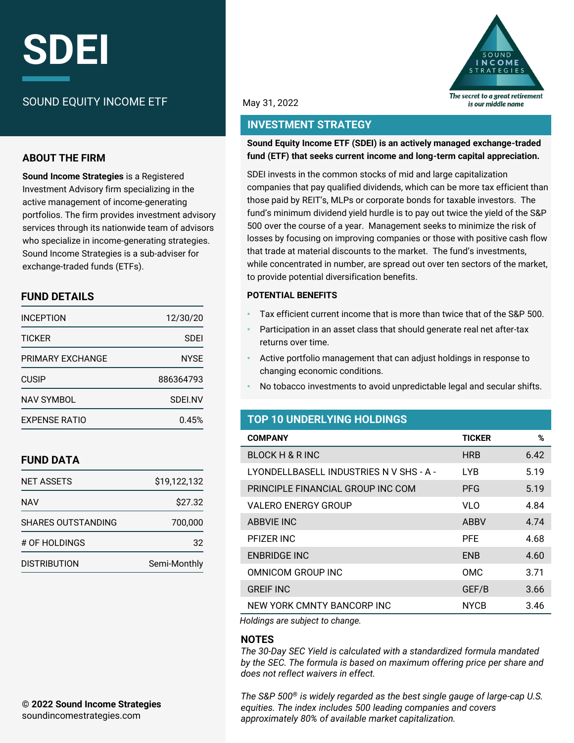# **SDEI**

# SOUND EQUITY INCOME ETF

## **ABOUT THE FIRM**

**Sound Income Strategies** is a Registered Investment Advisory firm specializing in the active management of income-generating portfolios. The firm provides investment advisory services through its nationwide team of advisors who specialize in income-generating strategies. Sound Income Strategies is a sub-adviser for exchange-traded funds (ETFs).

# **FUND DETAILS**

| <b>INCEPTION</b>     | 12/30/20    |  |  |
|----------------------|-------------|--|--|
| <b>TICKER</b>        | SDEI        |  |  |
| PRIMARY FXCHANGF     | <b>NYSE</b> |  |  |
| <b>CUSIP</b>         | 886364793   |  |  |
| <b>NAV SYMBOL</b>    | SDEI.NV     |  |  |
| <b>FXPENSE RATIO</b> | 0.45%       |  |  |

# **FUND DATA**

| <b>NET ASSETS</b>         | \$19,122,132 |
|---------------------------|--------------|
| NAV                       | \$27.32      |
| <b>SHARES OUTSTANDING</b> | 700.000      |
| # OF HOLDINGS             | 32           |
| <b>DISTRIBUTION</b>       | Semi-Monthly |



### May 31, 2022

# **INVESTMENT STRATEGY**

### **Sound Equity Income ETF (SDEI) is an actively managed exchange-traded fund (ETF) that seeks current income and long-term capital appreciation.**

SDEI invests in the common stocks of mid and large capitalization companies that pay qualified dividends, which can be more tax efficient than those paid by REIT's, MLPs or corporate bonds for taxable investors. The fund's minimum dividend yield hurdle is to pay out twice the yield of the S&P 500 over the course of a year. Management seeks to minimize the risk of losses by focusing on improving companies or those with positive cash flow that trade at material discounts to the market. The fund's investments, while concentrated in number, are spread out over ten sectors of the market, to provide potential diversification benefits.

### **POTENTIAL BENEFITS**

- Tax efficient current income that is more than twice that of the S&P 500.
- Participation in an asset class that should generate real net after-tax returns over time.
- Active portfolio management that can adjust holdings in response to changing economic conditions.
- No tobacco investments to avoid unpredictable legal and secular shifts.

# **TOP 10 UNDERLYING HOLDINGS**

| <b>COMPANY</b>                          | <b>TICKER</b> | %    |
|-----------------------------------------|---------------|------|
| <b>BLOCK H &amp; R INC</b>              | <b>HRB</b>    | 6.42 |
| LYONDELLBASELL INDUSTRIES N V SHS - A - | <b>LYB</b>    | 5.19 |
| PRINCIPLE FINANCIAL GROUP INC COM       | <b>PFG</b>    | 5.19 |
| <b>VALERO ENERGY GROUP</b>              | VL O          | 4.84 |
| <b>ABBVIE INC</b>                       | <b>ABBV</b>   | 4.74 |
| PFIZER INC                              | <b>PFF</b>    | 4.68 |
| <b>ENBRIDGE INC</b>                     | <b>FNB</b>    | 4.60 |
| OMNICOM GROUP INC                       | <b>OMC</b>    | 3.71 |
| <b>GREIF INC</b>                        | GEF/B         | 3.66 |
| NEW YORK CMNTY BANCORP INC              | <b>NYCB</b>   | 3.46 |

*Holdings are subject to change.*

### **NOTES**

*The 30-Day SEC Yield is calculated with a standardized formula mandated by the SEC. The formula is based on maximum offering price per share and does not reflect waivers in effect.* 

*The S&P 500® is widely regarded as the best single gauge of large-cap U.S. equities. The index includes 500 leading companies and covers approximately 80% of available market capitalization.*